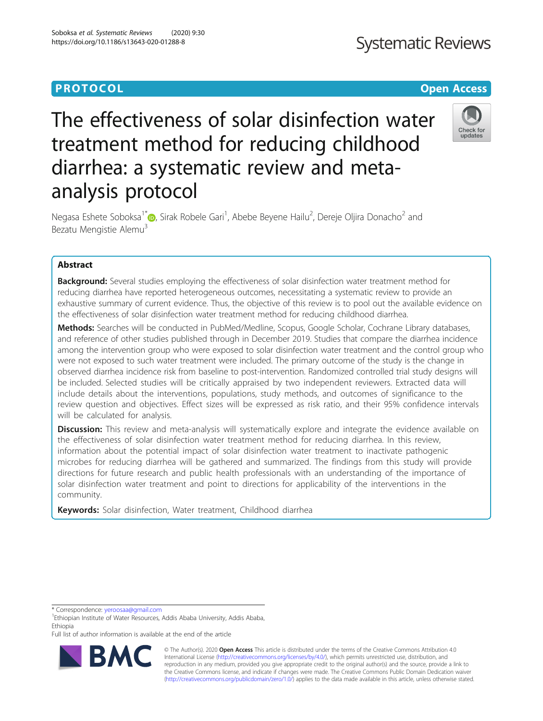## **PROTOCOL CONSUMING THE CONSUMING TEACHER CONSUMING THE CONSUMING TEACHER CONSUMING THE CONSUMING TEACHER CONSUMING**

# **Systematic Reviews**



The effectiveness of solar disinfection water treatment method for reducing childhood diarrhea: a systematic review and metaanalysis protocol

Negasa Eshete Soboksa<sup>1\*</sup>�[,](http://orcid.org/0000-0003-3451-175X) Sirak Robele Gari<sup>1</sup>, Abebe Beyene Hailu<sup>2</sup>, Dereje Oljira Donacho<sup>2</sup> and Bezatu Mengistie Alemu<sup>3</sup>

### Abstract

**Background:** Several studies employing the effectiveness of solar disinfection water treatment method for reducing diarrhea have reported heterogeneous outcomes, necessitating a systematic review to provide an exhaustive summary of current evidence. Thus, the objective of this review is to pool out the available evidence on the effectiveness of solar disinfection water treatment method for reducing childhood diarrhea.

Methods: Searches will be conducted in PubMed/Medline, Scopus, Google Scholar, Cochrane Library databases, and reference of other studies published through in December 2019. Studies that compare the diarrhea incidence among the intervention group who were exposed to solar disinfection water treatment and the control group who were not exposed to such water treatment were included. The primary outcome of the study is the change in observed diarrhea incidence risk from baseline to post-intervention. Randomized controlled trial study designs will be included. Selected studies will be critically appraised by two independent reviewers. Extracted data will include details about the interventions, populations, study methods, and outcomes of significance to the review question and objectives. Effect sizes will be expressed as risk ratio, and their 95% confidence intervals will be calculated for analysis.

**Discussion:** This review and meta-analysis will systematically explore and integrate the evidence available on the effectiveness of solar disinfection water treatment method for reducing diarrhea. In this review, information about the potential impact of solar disinfection water treatment to inactivate pathogenic microbes for reducing diarrhea will be gathered and summarized. The findings from this study will provide directions for future research and public health professionals with an understanding of the importance of solar disinfection water treatment and point to directions for applicability of the interventions in the community.

Keywords: Solar disinfection, Water treatment, Childhood diarrhea

\* Correspondence: [yeroosaa@gmail.com](mailto:yeroosaa@gmail.com) <sup>1</sup>

<sup>1</sup> Ethiopian Institute of Water Resources, Addis Ababa University, Addis Ababa, Ethiopia

Full list of author information is available at the end of the article



© The Author(s). 2020 **Open Access** This article is distributed under the terms of the Creative Commons Attribution 4.0 International License [\(http://creativecommons.org/licenses/by/4.0/](http://creativecommons.org/licenses/by/4.0/)), which permits unrestricted use, distribution, and reproduction in any medium, provided you give appropriate credit to the original author(s) and the source, provide a link to the Creative Commons license, and indicate if changes were made. The Creative Commons Public Domain Dedication waiver [\(http://creativecommons.org/publicdomain/zero/1.0/](http://creativecommons.org/publicdomain/zero/1.0/)) applies to the data made available in this article, unless otherwise stated.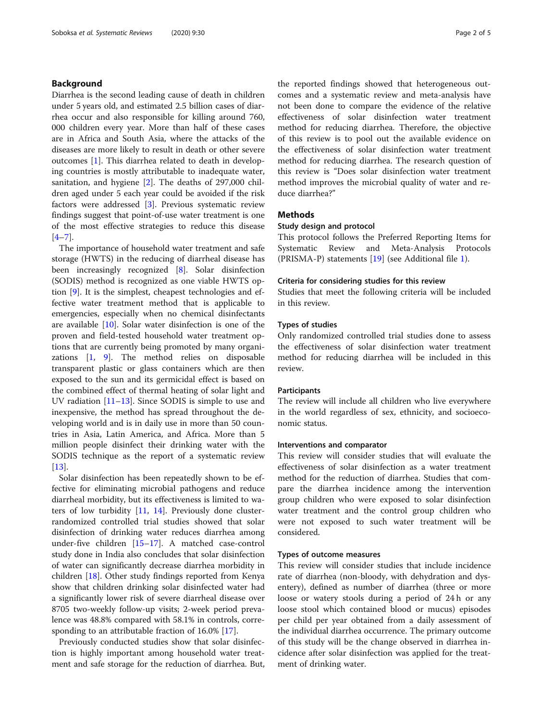#### Background

Diarrhea is the second leading cause of death in children under 5 years old, and estimated 2.5 billion cases of diarrhea occur and also responsible for killing around 760, 000 children every year. More than half of these cases are in Africa and South Asia, where the attacks of the diseases are more likely to result in death or other severe outcomes [[1\]](#page-4-0). This diarrhea related to death in developing countries is mostly attributable to inadequate water, sanitation, and hygiene [\[2\]](#page-4-0). The deaths of 297,000 children aged under 5 each year could be avoided if the risk factors were addressed [[3\]](#page-4-0). Previous systematic review findings suggest that point-of-use water treatment is one of the most effective strategies to reduce this disease  $[4-7]$  $[4-7]$  $[4-7]$  $[4-7]$ .

The importance of household water treatment and safe storage (HWTS) in the reducing of diarrheal disease has been increasingly recognized [[8\]](#page-4-0). Solar disinfection (SODIS) method is recognized as one viable HWTS option [[9](#page-4-0)]. It is the simplest, cheapest technologies and effective water treatment method that is applicable to emergencies, especially when no chemical disinfectants are available [\[10\]](#page-4-0). Solar water disinfection is one of the proven and field-tested household water treatment options that are currently being promoted by many organizations [[1,](#page-4-0) [9\]](#page-4-0). The method relies on disposable transparent plastic or glass containers which are then exposed to the sun and its germicidal effect is based on the combined effect of thermal heating of solar light and UV radiation [[11](#page-4-0)–[13](#page-4-0)]. Since SODIS is simple to use and inexpensive, the method has spread throughout the developing world and is in daily use in more than 50 countries in Asia, Latin America, and Africa. More than 5 million people disinfect their drinking water with the SODIS technique as the report of a systematic review [[13\]](#page-4-0).

Solar disinfection has been repeatedly shown to be effective for eliminating microbial pathogens and reduce diarrheal morbidity, but its effectiveness is limited to waters of low turbidity [[11](#page-4-0), [14](#page-4-0)]. Previously done clusterrandomized controlled trial studies showed that solar disinfection of drinking water reduces diarrhea among under-five children [\[15](#page-4-0)–[17\]](#page-4-0). A matched case-control study done in India also concludes that solar disinfection of water can significantly decrease diarrhea morbidity in children [[18\]](#page-4-0). Other study findings reported from Kenya show that children drinking solar disinfected water had a significantly lower risk of severe diarrheal disease over 8705 two-weekly follow-up visits; 2-week period prevalence was 48.8% compared with 58.1% in controls, corresponding to an attributable fraction of 16.0% [\[17](#page-4-0)].

Previously conducted studies show that solar disinfection is highly important among household water treatment and safe storage for the reduction of diarrhea. But,

the reported findings showed that heterogeneous outcomes and a systematic review and meta-analysis have not been done to compare the evidence of the relative effectiveness of solar disinfection water treatment method for reducing diarrhea. Therefore, the objective of this review is to pool out the available evidence on the effectiveness of solar disinfection water treatment method for reducing diarrhea. The research question of this review is "Does solar disinfection water treatment method improves the microbial quality of water and reduce diarrhea?"

#### **Methods**

#### Study design and protocol

This protocol follows the Preferred Reporting Items for Systematic Review and Meta-Analysis Protocols (PRISMA-P) statements [[19\]](#page-4-0) (see Additional file [1\)](#page-3-0).

#### Criteria for considering studies for this review

Studies that meet the following criteria will be included in this review.

#### Types of studies

Only randomized controlled trial studies done to assess the effectiveness of solar disinfection water treatment method for reducing diarrhea will be included in this review.

#### **Participants**

The review will include all children who live everywhere in the world regardless of sex, ethnicity, and socioeconomic status.

#### Interventions and comparator

This review will consider studies that will evaluate the effectiveness of solar disinfection as a water treatment method for the reduction of diarrhea. Studies that compare the diarrhea incidence among the intervention group children who were exposed to solar disinfection water treatment and the control group children who were not exposed to such water treatment will be considered.

#### Types of outcome measures

This review will consider studies that include incidence rate of diarrhea (non-bloody, with dehydration and dysentery), defined as number of diarrhea (three or more loose or watery stools during a period of 24 h or any loose stool which contained blood or mucus) episodes per child per year obtained from a daily assessment of the individual diarrhea occurrence. The primary outcome of this study will be the change observed in diarrhea incidence after solar disinfection was applied for the treatment of drinking water.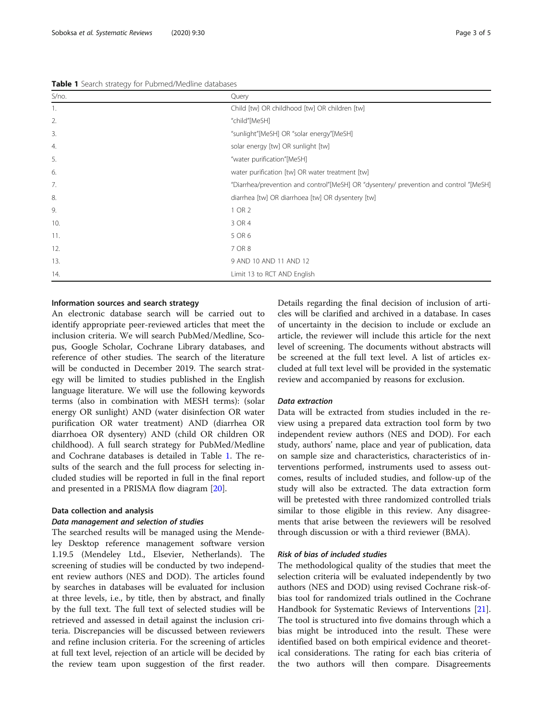Table 1 Search strategy for Pubmed/Medline databases

| S/no.            | Query                                                                                 |
|------------------|---------------------------------------------------------------------------------------|
| $\overline{1}$ . | Child [tw] OR childhood [tw] OR children [tw]                                         |
| 2.               | "child"[MeSH]                                                                         |
| 3.               | "sunlight"[MeSH] OR "solar energy"[MeSH]                                              |
| 4.               | solar energy [tw] OR sunlight [tw]                                                    |
| 5.               | "water purification"[MeSH]                                                            |
| 6.               | water purification [tw] OR water treatment [tw]                                       |
| 7.               | "Diarrhea/prevention and control"[MeSH] OR "dysentery/ prevention and control "[MeSH] |
| 8.               | diarrhea [tw] OR diarrhoea [tw] OR dysentery [tw]                                     |
| 9.               | 1 OR 2                                                                                |
| 10.              | 3 OR 4                                                                                |
| 11.              | 5 OR 6                                                                                |
| 12.              | 7 OR 8                                                                                |
| 13.              | 9 AND 10 AND 11 AND 12                                                                |
| 14.              | Limit 13 to RCT AND English                                                           |

#### Information sources and search strategy

An electronic database search will be carried out to identify appropriate peer-reviewed articles that meet the inclusion criteria. We will search PubMed/Medline, Scopus, Google Scholar, Cochrane Library databases, and reference of other studies. The search of the literature will be conducted in December 2019. The search strategy will be limited to studies published in the English language literature. We will use the following keywords terms (also in combination with MESH terms): (solar energy OR sunlight) AND (water disinfection OR water purification OR water treatment) AND (diarrhea OR diarrhoea OR dysentery) AND (child OR children OR childhood). A full search strategy for PubMed/Medline and Cochrane databases is detailed in Table 1. The results of the search and the full process for selecting included studies will be reported in full in the final report and presented in a PRISMA flow diagram [[20\]](#page-4-0).

#### Data collection and analysis

#### Data management and selection of studies

The searched results will be managed using the Mendeley Desktop reference management software version 1.19.5 (Mendeley Ltd., Elsevier, Netherlands). The screening of studies will be conducted by two independent review authors (NES and DOD). The articles found by searches in databases will be evaluated for inclusion at three levels, i.e., by title, then by abstract, and finally by the full text. The full text of selected studies will be retrieved and assessed in detail against the inclusion criteria. Discrepancies will be discussed between reviewers and refine inclusion criteria. For the screening of articles at full text level, rejection of an article will be decided by the review team upon suggestion of the first reader. Details regarding the final decision of inclusion of articles will be clarified and archived in a database. In cases of uncertainty in the decision to include or exclude an article, the reviewer will include this article for the next level of screening. The documents without abstracts will be screened at the full text level. A list of articles excluded at full text level will be provided in the systematic review and accompanied by reasons for exclusion.

#### Data extraction

Data will be extracted from studies included in the review using a prepared data extraction tool form by two independent review authors (NES and DOD). For each study, authors' name, place and year of publication, data on sample size and characteristics, characteristics of interventions performed, instruments used to assess outcomes, results of included studies, and follow-up of the study will also be extracted. The data extraction form will be pretested with three randomized controlled trials similar to those eligible in this review. Any disagreements that arise between the reviewers will be resolved through discussion or with a third reviewer (BMA).

#### Risk of bias of included studies

The methodological quality of the studies that meet the selection criteria will be evaluated independently by two authors (NES and DOD) using revised Cochrane risk-ofbias tool for randomized trials outlined in the Cochrane Handbook for Systematic Reviews of Interventions [\[21](#page-4-0)]. The tool is structured into five domains through which a bias might be introduced into the result. These were identified based on both empirical evidence and theoretical considerations. The rating for each bias criteria of the two authors will then compare. Disagreements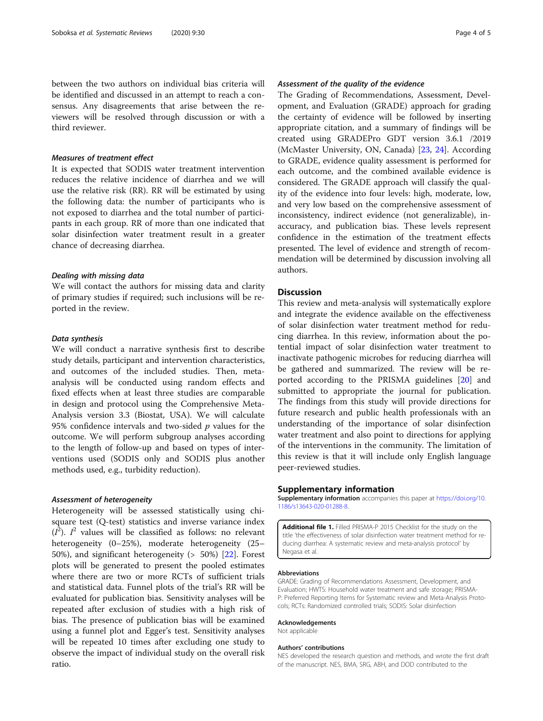<span id="page-3-0"></span>between the two authors on individual bias criteria will be identified and discussed in an attempt to reach a consensus. Any disagreements that arise between the reviewers will be resolved through discussion or with a third reviewer.

#### Measures of treatment effect

It is expected that SODIS water treatment intervention reduces the relative incidence of diarrhea and we will use the relative risk (RR). RR will be estimated by using the following data: the number of participants who is not exposed to diarrhea and the total number of participants in each group. RR of more than one indicated that solar disinfection water treatment result in a greater chance of decreasing diarrhea.

#### Dealing with missing data

We will contact the authors for missing data and clarity of primary studies if required; such inclusions will be reported in the review.

#### Data synthesis

We will conduct a narrative synthesis first to describe study details, participant and intervention characteristics, and outcomes of the included studies. Then, metaanalysis will be conducted using random effects and fixed effects when at least three studies are comparable in design and protocol using the Comprehensive Meta-Analysis version 3.3 (Biostat, USA). We will calculate 95% confidence intervals and two-sided  $p$  values for the outcome. We will perform subgroup analyses according to the length of follow-up and based on types of interventions used (SODIS only and SODIS plus another methods used, e.g., turbidity reduction).

#### Assessment of heterogeneity

Heterogeneity will be assessed statistically using chisquare test (Q-test) statistics and inverse variance index  $(I^2)$ .  $I^2$  values will be classified as follows: no relevant heterogeneity (0–25%), moderate heterogeneity (25– 50%), and significant heterogeneity  $(> 50\%)$  [\[22](#page-4-0)]. Forest plots will be generated to present the pooled estimates where there are two or more RCTs of sufficient trials and statistical data. Funnel plots of the trial's RR will be evaluated for publication bias. Sensitivity analyses will be repeated after exclusion of studies with a high risk of bias. The presence of publication bias will be examined using a funnel plot and Egger's test. Sensitivity analyses will be repeated 10 times after excluding one study to observe the impact of individual study on the overall risk ratio.

### Assessment of the quality of the evidence

The Grading of Recommendations, Assessment, Development, and Evaluation (GRADE) approach for grading the certainty of evidence will be followed by inserting appropriate citation, and a summary of findings will be created using GRADEPro GDT version 3.6.1 /2019 (McMaster University, ON, Canada) [[23,](#page-4-0) [24](#page-4-0)]. According to GRADE, evidence quality assessment is performed for each outcome, and the combined available evidence is considered. The GRADE approach will classify the quality of the evidence into four levels: high, moderate, low, and very low based on the comprehensive assessment of inconsistency, indirect evidence (not generalizable), inaccuracy, and publication bias. These levels represent confidence in the estimation of the treatment effects presented. The level of evidence and strength of recommendation will be determined by discussion involving all authors.

#### **Discussion**

This review and meta-analysis will systematically explore and integrate the evidence available on the effectiveness of solar disinfection water treatment method for reducing diarrhea. In this review, information about the potential impact of solar disinfection water treatment to inactivate pathogenic microbes for reducing diarrhea will be gathered and summarized. The review will be reported according to the PRISMA guidelines [\[20\]](#page-4-0) and submitted to appropriate the journal for publication. The findings from this study will provide directions for future research and public health professionals with an understanding of the importance of solar disinfection water treatment and also point to directions for applying of the interventions in the community. The limitation of this review is that it will include only English language peer-reviewed studies.

#### Supplementary information

Supplementary information accompanies this paper at [https://doi.org/10.](https://doi.org/10.1186/s13643-020-01288-8) [1186/s13643-020-01288-8](https://doi.org/10.1186/s13643-020-01288-8).

Additional file 1. Filled PRISMA-P 2015 Checklist for the study on the title 'the effectiveness of solar disinfection water treatment method for reducing diarrhea: A systematic review and meta-analysis protocol' by Negasa et al.

#### Abbreviations

GRADE: Grading of Recommendations Assessment, Development, and Evaluation; HWTS: Household water treatment and safe storage; PRISMA-P: Preferred Reporting Items for Systematic review and Meta-Analysis Protocols; RCTs: Randomized controlled trials; SODIS: Solar disinfection

#### Acknowledgements

Not applicable

#### Authors' contributions

NES developed the research question and methods, and wrote the first draft of the manuscript. NES, BMA, SRG, ABH, and DOD contributed to the